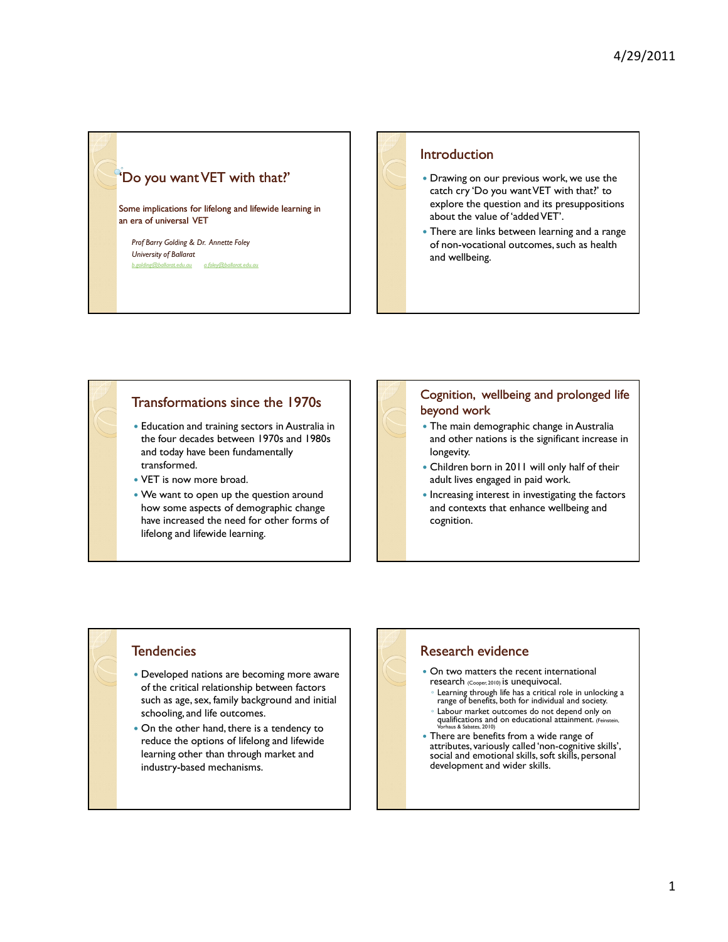

### **Introduction**

- Drawing on our previous work, we use the catch cry 'Do you want VET with that?' to explore the question and its presuppositions about the value of 'added VET'.
- There are links between learning and a range of non-vocational outcomes, such as health and wellbeing.

## Transformations since the 1970s

- Education and training sectors in Australia in the four decades between 1970s and 1980s and today have been fundamentally transformed.
- VET is now more broad.
- We want to open up the question around how some aspects of demographic change have increased the need for other forms of lifelong and lifewide learning.

#### Cognition, wellbeing and prolonged life beyond work

- The main demographic change in Australia and other nations is the significant increase in longevity.
- Children born in 2011 will only half of their adult lives engaged in paid work.
- Increasing interest in investigating the factors and contexts that enhance wellbeing and cognition.

## **Tendencies**

- Developed nations are becoming more aware of the critical relationship between factors such as age, sex, family background and initial schooling, and life outcomes.
- On the other hand, there is a tendency to reduce the options of lifelong and lifewide learning other than through market and industry-based mechanisms.

## Research evidence

- On two matters the recent international research (Cooper, 2010) is unequivocal.
	- Learning through life has a critical role in unlocking a range of benefits, both for individual and society.
	- Labour market outcomes do not depend only on qualifications and on educational attainment. (Feinstein, Vorhaus & Sabates, 2010)
- There are benefits from a wide range of attributes, variously called 'non-cognitive skills', social and emotional skills, soft skills, personal development and wider skills.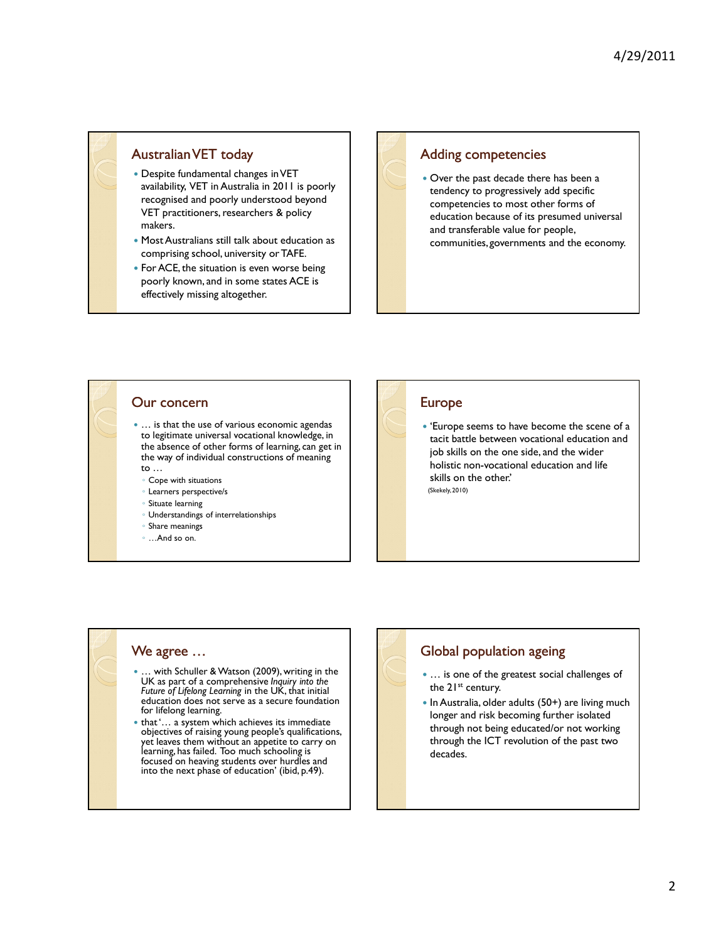## Australian VET today

- Despite fundamental changes in VET availability, VET in Australia in 2011 is poorly recognised and poorly understood beyond VET practitioners, researchers & policy makers.
- Most Australians still talk about education as comprising school, university or TAFE.
- For ACE, the situation is even worse being poorly known, and in some states ACE is effectively missing altogether.

### Adding competencies

 Over the past decade there has been a tendency to progressively add specific competencies to most other forms of education because of its presumed universal and transferable value for people, communities, governments and the economy.

#### Our concern

• ... is that the use of various economic agendas to legitimate universal vocational knowledge, in the absence of other forms of learning, can get in the way of individual constructions of meaning to …

- Cope with situations
- Learners perspective/s
- Situate learning
- Understandings of interrelationships
- Share meanings
- …And so on.

## Europe

 'Europe seems to have become the scene of a tacit battle between vocational education and job skills on the one side, and the wider holistic non-vocational education and life skills on the other.' (Skekely, 2010)

#### We agree …

- … with Schuller & Watson (2009), writing in the UK as part of a comprehensive Inquiry into the Future of Lifelong Learning in the UK, that initial education does not serve as a secure foundation for lifelong learning.
- that '... a system which achieves its immediate objectives of raising young people's qualifications, yet leaves them without an appetite to carry on learning, has failed. Too much schooling is focused on heaving students over hurdles and into the next phase of education' (ibid, p.49).

## Global population ageing

- ... is one of the greatest social challenges of the 21<sup>st</sup> century.
- In Australia, older adults (50+) are living much longer and risk becoming further isolated through not being educated/or not working through the ICT revolution of the past two decades.